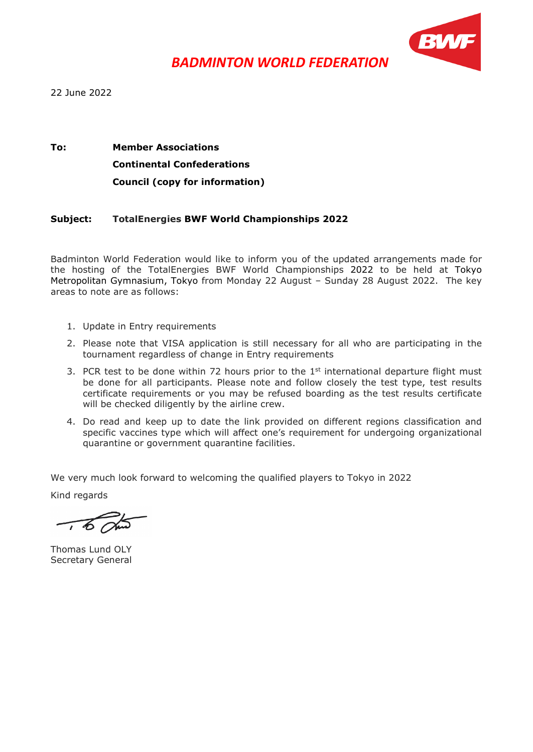

22 June 2022

#### **To: Member Associations Continental Confederations Council (copy for information)**

#### **Subject: TotalEnergies BWF World Championships 2022**

Badminton World Federation would like to inform you of the updated arrangements made for the hosting of the TotalEnergies BWF World Championships 2022 to be held at Tokyo Metropolitan Gymnasium, Tokyo from Monday 22 August – Sunday 28 August 2022. The key areas to note are as follows:

- 1. Update in Entry requirements
- 2. Please note that VISA application is still necessary for all who are participating in the tournament regardless of change in Entry requirements
- 3. PCR test to be done within 72 hours prior to the  $1<sup>st</sup>$  international departure flight must be done for all participants. Please note and follow closely the test type, test results certificate requirements or you may be refused boarding as the test results certificate will be checked diligently by the airline crew.
- 4. Do read and keep up to date the link provided on different regions classification and specific vaccines type which will affect one's requirement for undergoing organizational quarantine or government quarantine facilities.

We very much look forward to welcoming the qualified players to Tokyo in 2022

Kind regards

Thomas Lund OLY Secretary General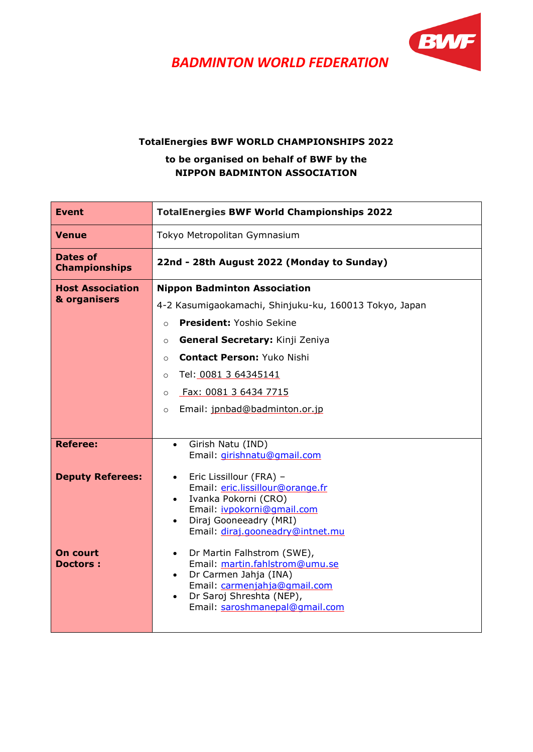

#### **TotalEnergies BWF WORLD CHAMPIONSHIPS 2022**

#### **to be organised on behalf of BWF by the NIPPON BADMINTON ASSOCIATION**

| <b>Event</b>                               | <b>TotalEnergies BWF World Championships 2022</b>                                                                                                                                                                                                                                                                                                     |  |
|--------------------------------------------|-------------------------------------------------------------------------------------------------------------------------------------------------------------------------------------------------------------------------------------------------------------------------------------------------------------------------------------------------------|--|
| Venue                                      | Tokyo Metropolitan Gymnasium                                                                                                                                                                                                                                                                                                                          |  |
| <b>Dates of</b><br><b>Championships</b>    | 22nd - 28th August 2022 (Monday to Sunday)                                                                                                                                                                                                                                                                                                            |  |
| <b>Host Association</b><br>& organisers    | <b>Nippon Badminton Association</b><br>4-2 Kasumigaokamachi, Shinjuku-ku, 160013 Tokyo, Japan<br>President: Yoshio Sekine<br>$\circ$<br>General Secretary: Kinji Zeniya<br>$\circ$<br><b>Contact Person: Yuko Nishi</b><br>$\circ$<br>Tel: 0081 3 64345141<br>$\circ$<br>Fax: 0081 3 6434 7715<br>$\circ$<br>Email: jpnbad@badminton.or.jp<br>$\circ$ |  |
| <b>Referee:</b><br><b>Deputy Referees:</b> | Girish Natu (IND)<br>$\bullet$<br>Email: girishnatu@qmail.com<br>Eric Lissillour (FRA) -<br>$\bullet$<br>Email: eric.lissillour@orange.fr<br>Ivanka Pokorni (CRO)<br>$\bullet$<br>Email: ivpokorni@gmail.com<br>Diraj Gooneeadry (MRI)<br>$\bullet$<br>Email: diraj.gooneadry@intnet.mu                                                               |  |
| <b>On court</b><br><b>Doctors:</b>         | Dr Martin Falhstrom (SWE),<br>$\bullet$<br>Email: martin.fahlstrom@umu.se<br>Dr Carmen Jahja (INA)<br>$\bullet$<br>Email: carmenjahja@qmail.com<br>Dr Saroj Shreshta (NEP),<br>$\bullet$<br>Email: saroshmanepal@gmail.com                                                                                                                            |  |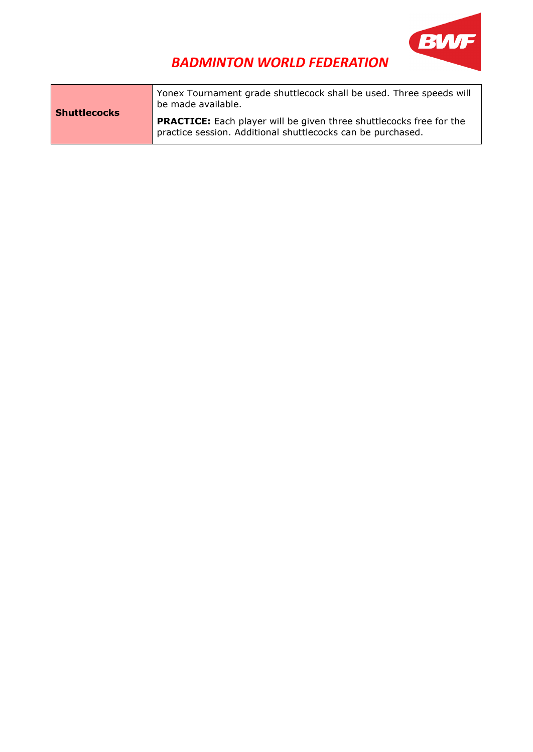

|                     | Yonex Tournament grade shuttlecock shall be used. Three speeds will<br>be made available.                                                 |
|---------------------|-------------------------------------------------------------------------------------------------------------------------------------------|
| <b>Shuttlecocks</b> | <b>PRACTICE:</b> Each player will be given three shuttlecocks free for the<br>practice session. Additional shuttlecocks can be purchased. |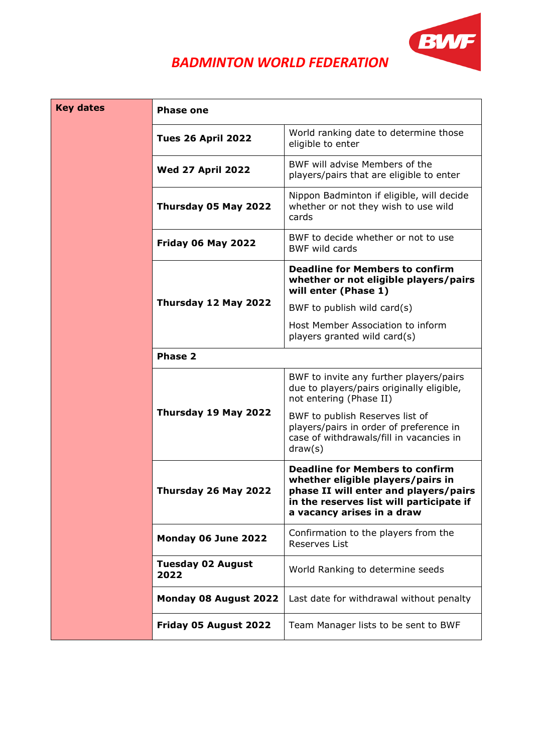

| <b>Key dates</b> | <b>Phase one</b>                 |                                                                                                                                                                                                |  |
|------------------|----------------------------------|------------------------------------------------------------------------------------------------------------------------------------------------------------------------------------------------|--|
|                  | <b>Tues 26 April 2022</b>        | World ranking date to determine those<br>eligible to enter                                                                                                                                     |  |
|                  | <b>Wed 27 April 2022</b>         | BWF will advise Members of the<br>players/pairs that are eligible to enter                                                                                                                     |  |
|                  | Thursday 05 May 2022             | Nippon Badminton if eligible, will decide<br>whether or not they wish to use wild<br>cards                                                                                                     |  |
|                  | Friday 06 May 2022               | BWF to decide whether or not to use<br><b>BWF wild cards</b>                                                                                                                                   |  |
|                  |                                  | <b>Deadline for Members to confirm</b><br>whether or not eligible players/pairs<br>will enter (Phase 1)                                                                                        |  |
|                  | Thursday 12 May 2022             | BWF to publish wild card $(s)$                                                                                                                                                                 |  |
|                  |                                  | Host Member Association to inform<br>players granted wild card(s)                                                                                                                              |  |
|                  | Phase 2                          |                                                                                                                                                                                                |  |
|                  |                                  | BWF to invite any further players/pairs<br>due to players/pairs originally eligible,<br>not entering (Phase II)                                                                                |  |
|                  | Thursday 19 May 2022             | BWF to publish Reserves list of<br>players/pairs in order of preference in<br>case of withdrawals/fill in vacancies in<br>draw(s)                                                              |  |
|                  | Thursday 26 May 2022             | <b>Deadline for Members to confirm</b><br>whether eligible players/pairs in<br>phase II will enter and players/pairs<br>in the reserves list will participate if<br>a vacancy arises in a draw |  |
|                  | Monday 06 June 2022              | Confirmation to the players from the<br>Reserves List                                                                                                                                          |  |
|                  | <b>Tuesday 02 August</b><br>2022 | World Ranking to determine seeds                                                                                                                                                               |  |
|                  | Monday 08 August 2022            | Last date for withdrawal without penalty                                                                                                                                                       |  |
|                  | Friday 05 August 2022            | Team Manager lists to be sent to BWF                                                                                                                                                           |  |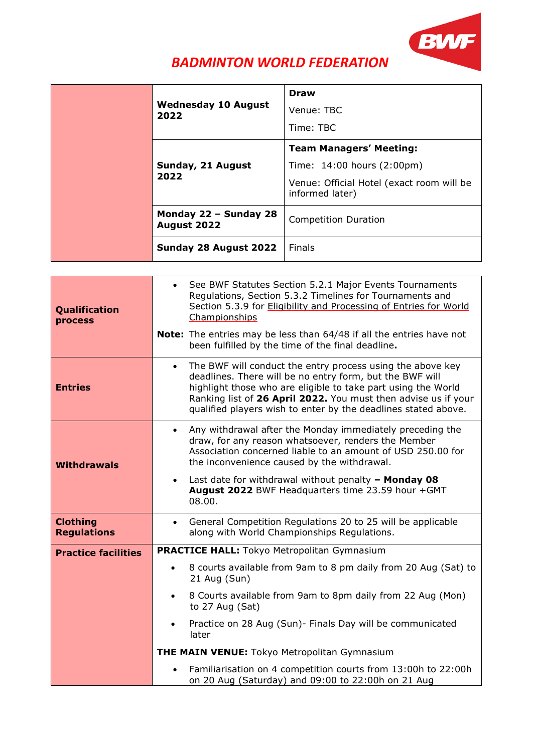

|      | <b>Wednesday 10 August</b><br>2022   | <b>Draw</b><br>Venue: TBC                                    |
|------|--------------------------------------|--------------------------------------------------------------|
|      |                                      | Time: TBC                                                    |
|      |                                      | <b>Team Managers' Meeting:</b>                               |
|      | Sunday, 21 August                    | Time: 14:00 hours (2:00pm)                                   |
| 2022 |                                      | Venue: Official Hotel (exact room will be<br>informed later) |
|      | Monday 22 - Sunday 28<br>August 2022 | <b>Competition Duration</b>                                  |
|      | Sunday 28 August 2022                | Finals                                                       |

| Qualification<br>process              | See BWF Statutes Section 5.2.1 Major Events Tournaments<br>$\bullet$<br>Regulations, Section 5.3.2 Timelines for Tournaments and<br>Section 5.3.9 for Eligibility and Processing of Entries for World<br>Championships<br>Note: The entries may be less than 64/48 if all the entries have not<br>been fulfilled by the time of the final deadline.                               |
|---------------------------------------|-----------------------------------------------------------------------------------------------------------------------------------------------------------------------------------------------------------------------------------------------------------------------------------------------------------------------------------------------------------------------------------|
| <b>Entries</b>                        | The BWF will conduct the entry process using the above key<br>$\bullet$<br>deadlines. There will be no entry form, but the BWF will<br>highlight those who are eligible to take part using the World<br>Ranking list of 26 April 2022. You must then advise us if your<br>qualified players wish to enter by the deadlines stated above.                                          |
| <b>Withdrawals</b>                    | Any withdrawal after the Monday immediately preceding the<br>$\bullet$<br>draw, for any reason whatsoever, renders the Member<br>Association concerned liable to an amount of USD 250.00 for<br>the inconvenience caused by the withdrawal.<br>Last date for withdrawal without penalty $-$ Monday 08<br>$\bullet$<br>August 2022 BWF Headquarters time 23.59 hour +GMT<br>08.00. |
| <b>Clothing</b><br><b>Regulations</b> | General Competition Regulations 20 to 25 will be applicable<br>$\bullet$<br>along with World Championships Regulations.                                                                                                                                                                                                                                                           |
| <b>Practice facilities</b>            | <b>PRACTICE HALL:</b> Tokyo Metropolitan Gymnasium                                                                                                                                                                                                                                                                                                                                |
|                                       | 8 courts available from 9am to 8 pm daily from 20 Aug (Sat) to<br>21 Aug (Sun)                                                                                                                                                                                                                                                                                                    |
|                                       | 8 Courts available from 9am to 8pm daily from 22 Aug (Mon)<br>$\bullet$<br>to $27$ Aug (Sat)                                                                                                                                                                                                                                                                                      |
|                                       | Practice on 28 Aug (Sun)- Finals Day will be communicated<br>later                                                                                                                                                                                                                                                                                                                |
|                                       | <b>THE MAIN VENUE:</b> Tokyo Metropolitan Gymnasium                                                                                                                                                                                                                                                                                                                               |
|                                       | Familiarisation on 4 competition courts from 13:00h to 22:00h<br>on 20 Aug (Saturday) and 09:00 to 22:00h on 21 Aug                                                                                                                                                                                                                                                               |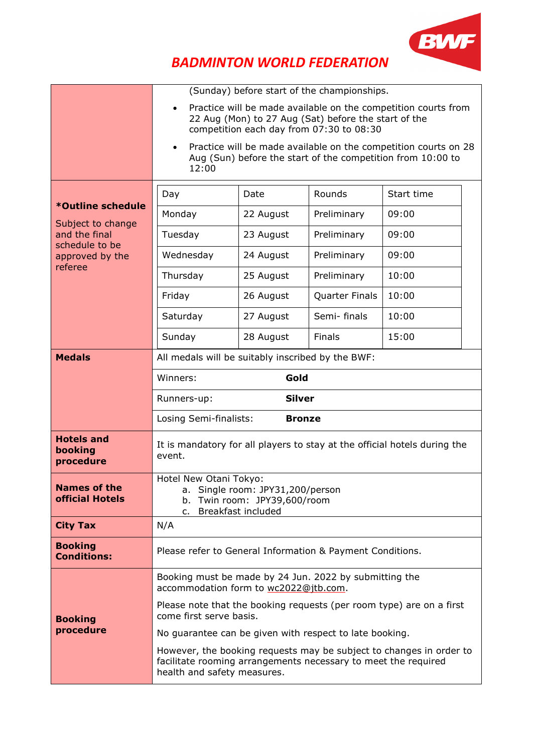

|                                               |                                                                                                                                                                      |               | (Sunday) before start of the championships. |                                                                                                                                |  |
|-----------------------------------------------|----------------------------------------------------------------------------------------------------------------------------------------------------------------------|---------------|---------------------------------------------|--------------------------------------------------------------------------------------------------------------------------------|--|
|                                               | Practice will be made available on the competition courts from<br>22 Aug (Mon) to 27 Aug (Sat) before the start of the<br>competition each day from 07:30 to 08:30   |               |                                             |                                                                                                                                |  |
|                                               | $\bullet$<br>12:00                                                                                                                                                   |               |                                             | Practice will be made available on the competition courts on 28<br>Aug (Sun) before the start of the competition from 10:00 to |  |
|                                               | Day                                                                                                                                                                  | Date          | Rounds                                      | Start time                                                                                                                     |  |
| *Outline schedule                             | Monday                                                                                                                                                               | 22 August     | Preliminary                                 | 09:00                                                                                                                          |  |
| Subject to change<br>and the final            | Tuesday                                                                                                                                                              | 23 August     | Preliminary                                 | 09:00                                                                                                                          |  |
| schedule to be<br>approved by the             | Wednesday                                                                                                                                                            | 24 August     | Preliminary                                 | 09:00                                                                                                                          |  |
| referee                                       | Thursday                                                                                                                                                             | 25 August     | Preliminary                                 | 10:00                                                                                                                          |  |
|                                               | Friday                                                                                                                                                               | 26 August     | Quarter Finals                              | 10:00                                                                                                                          |  |
|                                               | Saturday                                                                                                                                                             | 27 August     | Semi-finals                                 | 10:00                                                                                                                          |  |
|                                               | Sunday                                                                                                                                                               | 28 August     | Finals                                      | 15:00                                                                                                                          |  |
| <b>Medals</b>                                 | All medals will be suitably inscribed by the BWF:                                                                                                                    |               |                                             |                                                                                                                                |  |
|                                               | Winners:                                                                                                                                                             | Gold          |                                             |                                                                                                                                |  |
|                                               | Runners-up:                                                                                                                                                          | <b>Silver</b> |                                             |                                                                                                                                |  |
|                                               | Losing Semi-finalists:                                                                                                                                               | <b>Bronze</b> |                                             |                                                                                                                                |  |
| <b>Hotels and</b><br>booking<br>procedure     | It is mandatory for all players to stay at the official hotels during the<br>event.                                                                                  |               |                                             |                                                                                                                                |  |
| <b>Names of the</b><br><b>official Hotels</b> | Hotel New Otani Tokyo:<br>a. Single room: JPY31,200/person<br>b. Twin room: JPY39,600/room<br>Breakfast included<br>$C_{1}$                                          |               |                                             |                                                                                                                                |  |
| <b>City Tax</b>                               | N/A                                                                                                                                                                  |               |                                             |                                                                                                                                |  |
| <b>Booking</b><br><b>Conditions:</b>          | Please refer to General Information & Payment Conditions.                                                                                                            |               |                                             |                                                                                                                                |  |
|                                               | Booking must be made by 24 Jun. 2022 by submitting the<br>accommodation form to wc2022@jtb.com.                                                                      |               |                                             |                                                                                                                                |  |
| <b>Booking</b>                                | Please note that the booking requests (per room type) are on a first<br>come first serve basis.                                                                      |               |                                             |                                                                                                                                |  |
| procedure                                     | No guarantee can be given with respect to late booking.                                                                                                              |               |                                             |                                                                                                                                |  |
|                                               | However, the booking requests may be subject to changes in order to<br>facilitate rooming arrangements necessary to meet the required<br>health and safety measures. |               |                                             |                                                                                                                                |  |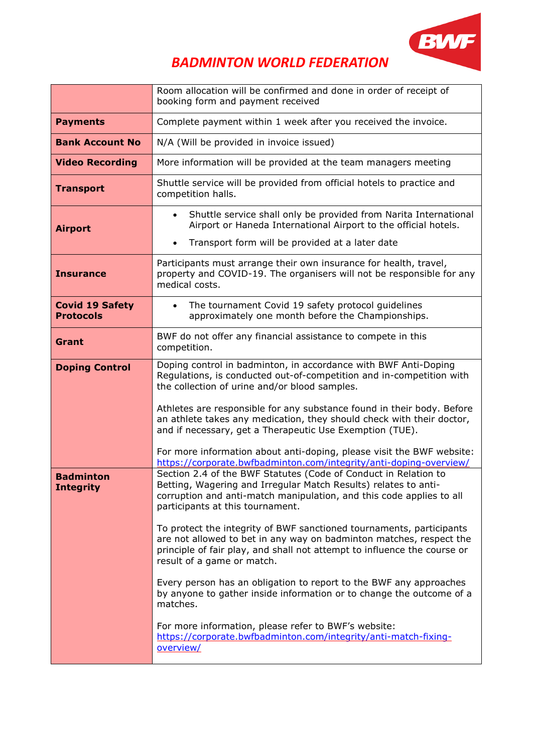

|                                            | Room allocation will be confirmed and done in order of receipt of<br>booking form and payment received                                                                                                                                                |  |
|--------------------------------------------|-------------------------------------------------------------------------------------------------------------------------------------------------------------------------------------------------------------------------------------------------------|--|
| <b>Payments</b>                            | Complete payment within 1 week after you received the invoice.                                                                                                                                                                                        |  |
| <b>Bank Account No</b>                     | N/A (Will be provided in invoice issued)                                                                                                                                                                                                              |  |
| <b>Video Recording</b>                     | More information will be provided at the team managers meeting                                                                                                                                                                                        |  |
| <b>Transport</b>                           | Shuttle service will be provided from official hotels to practice and<br>competition halls.                                                                                                                                                           |  |
| <b>Airport</b>                             | Shuttle service shall only be provided from Narita International<br>$\bullet$<br>Airport or Haneda International Airport to the official hotels.                                                                                                      |  |
|                                            | Transport form will be provided at a later date<br>$\bullet$                                                                                                                                                                                          |  |
| <b>Insurance</b>                           | Participants must arrange their own insurance for health, travel,<br>property and COVID-19. The organisers will not be responsible for any<br>medical costs.                                                                                          |  |
| <b>Covid 19 Safety</b><br><b>Protocols</b> | The tournament Covid 19 safety protocol guidelines<br>$\bullet$<br>approximately one month before the Championships.                                                                                                                                  |  |
| Grant                                      | BWF do not offer any financial assistance to compete in this<br>competition.                                                                                                                                                                          |  |
| <b>Doping Control</b>                      | Doping control in badminton, in accordance with BWF Anti-Doping<br>Regulations, is conducted out-of-competition and in-competition with<br>the collection of urine and/or blood samples.                                                              |  |
|                                            | Athletes are responsible for any substance found in their body. Before<br>an athlete takes any medication, they should check with their doctor,<br>and if necessary, get a Therapeutic Use Exemption (TUE).                                           |  |
|                                            | For more information about anti-doping, please visit the BWF website:<br>https://corporate.bwfbadminton.com/integrity/anti-doping-overview/                                                                                                           |  |
| <b>Badminton</b><br><b>Integrity</b>       | Section 2.4 of the BWF Statutes (Code of Conduct in Relation to<br>Betting, Wagering and Irregular Match Results) relates to anti-<br>corruption and anti-match manipulation, and this code applies to all<br>participants at this tournament.        |  |
|                                            | To protect the integrity of BWF sanctioned tournaments, participants<br>are not allowed to bet in any way on badminton matches, respect the<br>principle of fair play, and shall not attempt to influence the course or<br>result of a game or match. |  |
|                                            | Every person has an obligation to report to the BWF any approaches<br>by anyone to gather inside information or to change the outcome of a<br>matches.                                                                                                |  |
|                                            | For more information, please refer to BWF's website:<br>https://corporate.bwfbadminton.com/integrity/anti-match-fixing-<br>overview/                                                                                                                  |  |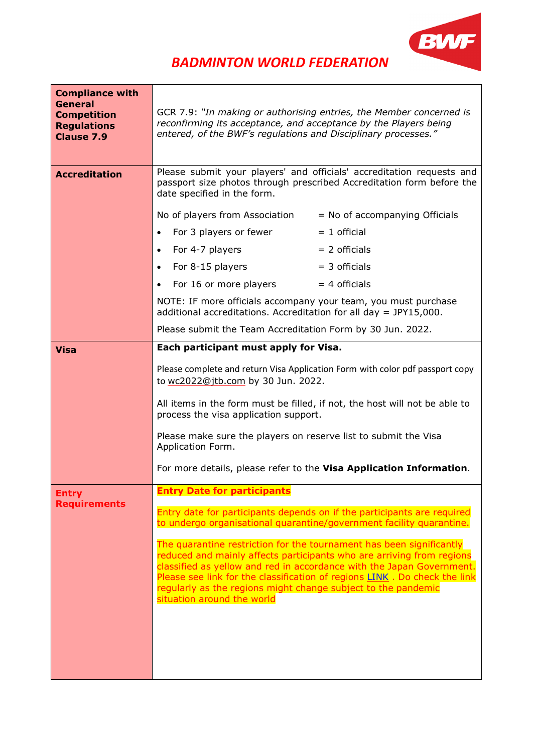

| <b>Compliance with</b><br><b>General</b><br><b>Competition</b><br><b>Regulations</b><br><b>Clause 7.9</b> | GCR 7.9: "In making or authorising entries, the Member concerned is<br>reconfirming its acceptance, and acceptance by the Players being<br>entered, of the BWF's regulations and Disciplinary processes." |                                                                                                                                                                                                                             |
|-----------------------------------------------------------------------------------------------------------|-----------------------------------------------------------------------------------------------------------------------------------------------------------------------------------------------------------|-----------------------------------------------------------------------------------------------------------------------------------------------------------------------------------------------------------------------------|
| <b>Accreditation</b>                                                                                      | Please submit your players' and officials' accreditation requests and<br>passport size photos through prescribed Accreditation form before the<br>date specified in the form.                             |                                                                                                                                                                                                                             |
|                                                                                                           | No of players from Association                                                                                                                                                                            | $=$ No of accompanying Officials                                                                                                                                                                                            |
|                                                                                                           | For 3 players or fewer                                                                                                                                                                                    | $= 1$ official                                                                                                                                                                                                              |
|                                                                                                           | For 4-7 players<br>$\bullet$                                                                                                                                                                              | $= 2$ officials                                                                                                                                                                                                             |
|                                                                                                           | For 8-15 players                                                                                                                                                                                          | $=$ 3 officials                                                                                                                                                                                                             |
|                                                                                                           | For 16 or more players                                                                                                                                                                                    | $= 4$ officials                                                                                                                                                                                                             |
|                                                                                                           | NOTE: IF more officials accompany your team, you must purchase<br>additional accreditations. Accreditation for all day = $JPY15,000$ .                                                                    |                                                                                                                                                                                                                             |
|                                                                                                           | Please submit the Team Accreditation Form by 30 Jun. 2022.                                                                                                                                                |                                                                                                                                                                                                                             |
| <b>Visa</b>                                                                                               | Each participant must apply for Visa.                                                                                                                                                                     |                                                                                                                                                                                                                             |
|                                                                                                           | to wc2022@jtb.com by 30 Jun. 2022.                                                                                                                                                                        | Please complete and return Visa Application Form with color pdf passport copy                                                                                                                                               |
|                                                                                                           | process the visa application support.                                                                                                                                                                     | All items in the form must be filled, if not, the host will not be able to                                                                                                                                                  |
|                                                                                                           | Please make sure the players on reserve list to submit the Visa<br>Application Form.                                                                                                                      |                                                                                                                                                                                                                             |
|                                                                                                           |                                                                                                                                                                                                           | For more details, please refer to the Visa Application Information.                                                                                                                                                         |
| <b>Entry</b>                                                                                              | <b>Entry Date for participants</b>                                                                                                                                                                        |                                                                                                                                                                                                                             |
| <b>Requirements</b>                                                                                       |                                                                                                                                                                                                           | Entry date for participants depends on if the participants are required<br>to undergo organisational quarantine/government facility quarantine.                                                                             |
|                                                                                                           | The quarantine restriction for the tournament has been significantly<br>regularly as the regions might change subject to the pandemic<br>situation around the world                                       | reduced and mainly affects participants who are arriving from regions<br>classified as yellow and red in accordance with the Japan Government.<br>Please see link for the classification of regions LINK. Do check the link |
|                                                                                                           |                                                                                                                                                                                                           |                                                                                                                                                                                                                             |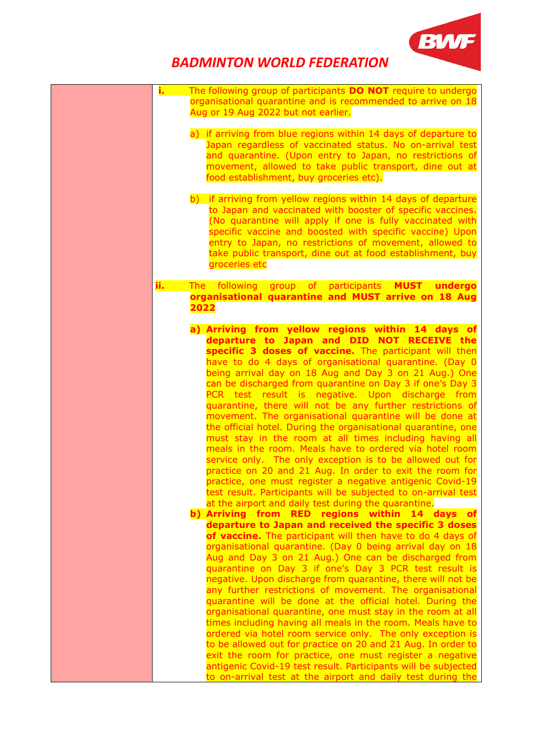

| The following group of participants DO NOT require to undergo<br>i. L                                                    |
|--------------------------------------------------------------------------------------------------------------------------|
| organisational quarantine and is recommended to arrive on 18                                                             |
| Aug or 19 Aug 2022 but not earlier.                                                                                      |
|                                                                                                                          |
| a) if arriving from blue regions within 14 days of departure to                                                          |
| Japan regardless of vaccinated status. No on-arrival test                                                                |
| and quarantine. (Upon entry to Japan, no restrictions of                                                                 |
| movement, allowed to take public transport, dine out at                                                                  |
| food establishment, buy groceries etc).                                                                                  |
| b) if arriving from yellow regions within 14 days of departure                                                           |
| to Japan and vaccinated with booster of specific vaccines.                                                               |
| (No quarantine will apply if one is fully vaccinated with                                                                |
| specific vaccine and boosted with specific vaccine) Upon                                                                 |
| entry to Japan, no restrictions of movement, allowed to                                                                  |
| take public transport, dine out at food establishment, buy                                                               |
| groceries etc                                                                                                            |
|                                                                                                                          |
| ii.<br>The following group of participants <b>MUST undergo</b>                                                           |
| organisational quarantine and MUST arrive on 18 Aug                                                                      |
| 2022                                                                                                                     |
|                                                                                                                          |
| a) Arriving from yellow regions within 14 days of                                                                        |
| departure to Japan and DID NOT RECEIVE the                                                                               |
| specific 3 doses of vaccine. The participant will then                                                                   |
| have to do 4 days of organisational quarantine. (Day 0                                                                   |
| being arrival day on 18 Aug and Day 3 on 21 Aug.) One                                                                    |
| can be discharged from quarantine on Day 3 if one's Day 3                                                                |
| PCR test result is negative. Upon discharge from                                                                         |
| quarantine, there will not be any further restrictions of                                                                |
| movement. The organisational quarantine will be done at<br>the official hotel. During the organisational quarantine, one |
| must stay in the room at all times including having all                                                                  |
| meals in the room. Meals have to ordered via hotel room                                                                  |
| service only. The only exception is to be allowed out for                                                                |
| practice on 20 and 21 Aug. In order to exit the room for                                                                 |
| practice, one must register a negative antigenic Covid-19                                                                |
| test result. Participants will be subjected to on-arrival test                                                           |
| at the airport and daily test during the quarantine.                                                                     |
| b) Arriving from RED regions within 14 days of                                                                           |
| departure to Japan and received the specific 3 doses                                                                     |
| of vaccine. The participant will then have to do 4 days of                                                               |
| organisational quarantine. (Day 0 being arrival day on 18                                                                |
| Aug and Day 3 on 21 Aug.) One can be discharged from                                                                     |
| quarantine on Day 3 if one's Day 3 PCR test result is                                                                    |
| negative. Upon discharge from quarantine, there will not be                                                              |
| any further restrictions of movement. The organisational                                                                 |
| quarantine will be done at the official hotel. During the                                                                |
| organisational quarantine, one must stay in the room at all                                                              |
| times including having all meals in the room. Meals have to                                                              |
| ordered via hotel room service only. The only exception is                                                               |
| to be allowed out for practice on 20 and 21 Aug. In order to                                                             |
| exit the room for practice, one must register a negative                                                                 |
| antigenic Covid-19 test result. Participants will be subjected                                                           |
| to on-arrival test at the airport and daily test during the                                                              |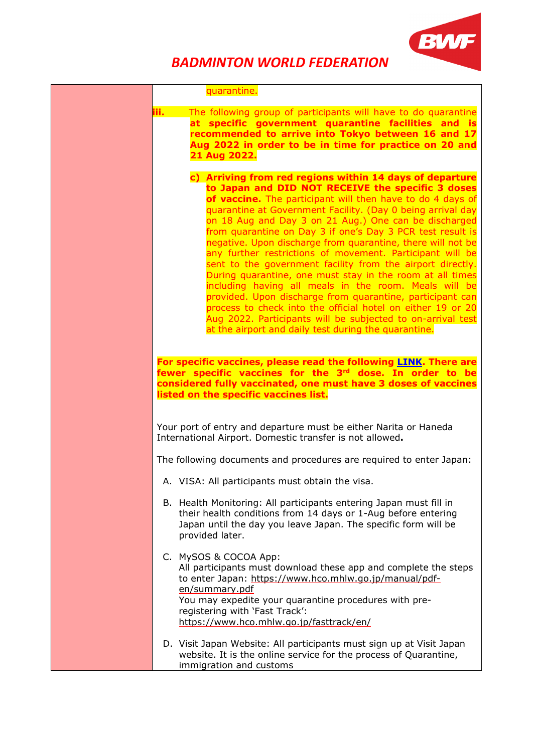

|      | quarantine.                                                                                                                                                                                                                                                                                                                                                                                                                                                                                                                                                                                                                                                                                                                                                                                                                                                                                                                          |
|------|--------------------------------------------------------------------------------------------------------------------------------------------------------------------------------------------------------------------------------------------------------------------------------------------------------------------------------------------------------------------------------------------------------------------------------------------------------------------------------------------------------------------------------------------------------------------------------------------------------------------------------------------------------------------------------------------------------------------------------------------------------------------------------------------------------------------------------------------------------------------------------------------------------------------------------------|
| iii. | The following group of participants will have to do quarantine<br>at specific government quarantine facilities and is<br>recommended to arrive into Tokyo between 16 and 17<br>Aug 2022 in order to be in time for practice on 20 and<br>21 Aug 2022.                                                                                                                                                                                                                                                                                                                                                                                                                                                                                                                                                                                                                                                                                |
|      | c) Arriving from red regions within 14 days of departure<br>to Japan and DID NOT RECEIVE the specific 3 doses<br>of vaccine. The participant will then have to do 4 days of<br>quarantine at Government Facility. (Day 0 being arrival day<br>on 18 Aug and Day 3 on 21 Aug.) One can be discharged<br>from quarantine on Day 3 if one's Day 3 PCR test result is<br>negative. Upon discharge from quarantine, there will not be<br>any further restrictions of movement. Participant will be<br>sent to the government facility from the airport directly.<br>During quarantine, one must stay in the room at all times<br>including having all meals in the room. Meals will be<br>provided. Upon discharge from quarantine, participant can<br>process to check into the official hotel on either 19 or 20<br>Aug 2022. Participants will be subjected to on-arrival test<br>at the airport and daily test during the quarantine. |
|      | For specific vaccines, please read the following <b>LINK</b> . There are<br>fewer specific vaccines for the 3rd dose. In order to be<br>considered fully vaccinated, one must have 3 doses of vaccines<br>listed on the specific vaccines list.                                                                                                                                                                                                                                                                                                                                                                                                                                                                                                                                                                                                                                                                                      |
|      | Your port of entry and departure must be either Narita or Haneda<br>International Airport. Domestic transfer is not allowed.                                                                                                                                                                                                                                                                                                                                                                                                                                                                                                                                                                                                                                                                                                                                                                                                         |
|      | The following documents and procedures are required to enter Japan:                                                                                                                                                                                                                                                                                                                                                                                                                                                                                                                                                                                                                                                                                                                                                                                                                                                                  |
|      | A. VISA: All participants must obtain the visa                                                                                                                                                                                                                                                                                                                                                                                                                                                                                                                                                                                                                                                                                                                                                                                                                                                                                       |
|      | B. Health Monitoring: All participants entering Japan must fill in<br>their health conditions from 14 days or 1-Aug before entering<br>Japan until the day you leave Japan. The specific form will be<br>provided later.                                                                                                                                                                                                                                                                                                                                                                                                                                                                                                                                                                                                                                                                                                             |
|      | C. MySOS & COCOA App:<br>All participants must download these app and complete the steps<br>to enter Japan: https://www.hco.mhlw.go.jp/manual/pdf-<br>en/summary.pdf<br>You may expedite your quarantine procedures with pre-<br>registering with 'Fast Track':<br>https://www.hco.mhlw.go.jp/fasttrack/en/                                                                                                                                                                                                                                                                                                                                                                                                                                                                                                                                                                                                                          |
|      | D. Visit Japan Website: All participants must sign up at Visit Japan<br>website. It is the online service for the process of Quarantine,<br>immigration and customs                                                                                                                                                                                                                                                                                                                                                                                                                                                                                                                                                                                                                                                                                                                                                                  |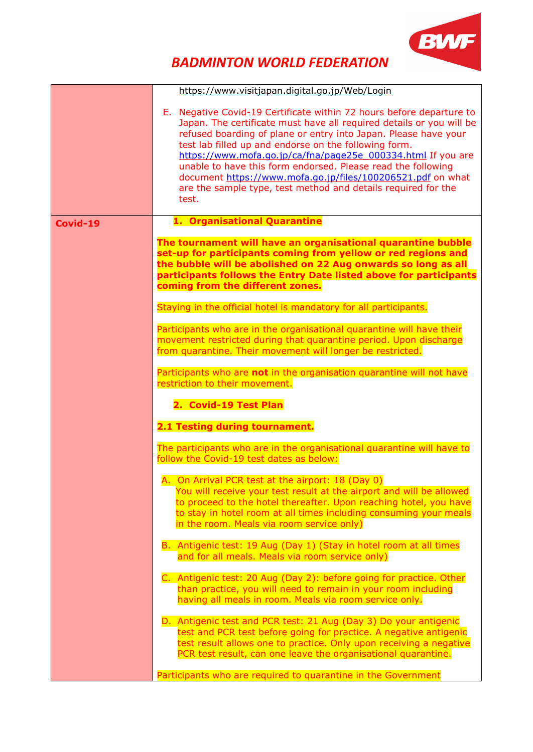

|          | https://www.visitjapan.digital.go.jp/Web/Login                                                                                                                                                                                                                                                                                                                                                                                                                                                                                                    |
|----------|---------------------------------------------------------------------------------------------------------------------------------------------------------------------------------------------------------------------------------------------------------------------------------------------------------------------------------------------------------------------------------------------------------------------------------------------------------------------------------------------------------------------------------------------------|
|          | E. Negative Covid-19 Certificate within 72 hours before departure to<br>Japan. The certificate must have all required details or you will be<br>refused boarding of plane or entry into Japan. Please have your<br>test lab filled up and endorse on the following form.<br>https://www.mofa.go.jp/ca/fna/page25e_000334.html If you are<br>unable to have this form endorsed. Please read the following<br>document https://www.mofa.go.jp/files/100206521.pdf on what<br>are the sample type, test method and details required for the<br>test. |
| Covid-19 | 1. Organisational Quarantine                                                                                                                                                                                                                                                                                                                                                                                                                                                                                                                      |
|          | The tournament will have an organisational quarantine bubble<br>set-up for participants coming from yellow or red regions and<br>the bubble will be abolished on 22 Aug onwards so long as all<br>participants follows the Entry Date listed above for participants<br>coming from the different zones.                                                                                                                                                                                                                                           |
|          | Staying in the official hotel is mandatory for all participants.                                                                                                                                                                                                                                                                                                                                                                                                                                                                                  |
|          | Participants who are in the organisational quarantine will have their<br>movement restricted during that quarantine period. Upon discharge<br>from quarantine. Their movement will longer be restricted.                                                                                                                                                                                                                                                                                                                                          |
|          | Participants who are not in the organisation quarantine will not have<br>restriction to their movement.<br>2. Covid-19 Test Plan                                                                                                                                                                                                                                                                                                                                                                                                                  |
|          | 2.1 Testing during tournament.                                                                                                                                                                                                                                                                                                                                                                                                                                                                                                                    |
|          | The participants who are in the organisational quarantine will have to<br>follow the Covid-19 test dates as below:                                                                                                                                                                                                                                                                                                                                                                                                                                |
|          | A. On Arrival PCR test at the airport: 18 (Day 0)<br>You will receive your test result at the airport and will be allowed<br>to proceed to the hotel thereafter. Upon reaching hotel, you have<br>to stay in hotel room at all times including consuming your meals<br>in the room. Meals via room service only)                                                                                                                                                                                                                                  |
|          | B. Antigenic test: 19 Aug (Day 1) (Stay in hotel room at all times<br>and for all meals. Meals via room service only)                                                                                                                                                                                                                                                                                                                                                                                                                             |
|          | C. Antigenic test: 20 Aug (Day 2): before going for practice. Other<br>than practice, you will need to remain in your room including<br>having all meals in room. Meals via room service only.                                                                                                                                                                                                                                                                                                                                                    |
|          | D. Antigenic test and PCR test: 21 Aug (Day 3) Do your antigenic<br>test and PCR test before going for practice. A negative antigenic<br>test result allows one to practice. Only upon receiving a negative<br>PCR test result, can one leave the organisational quarantine.                                                                                                                                                                                                                                                                      |
|          | Participants who are required to quarantine in the Government                                                                                                                                                                                                                                                                                                                                                                                                                                                                                     |